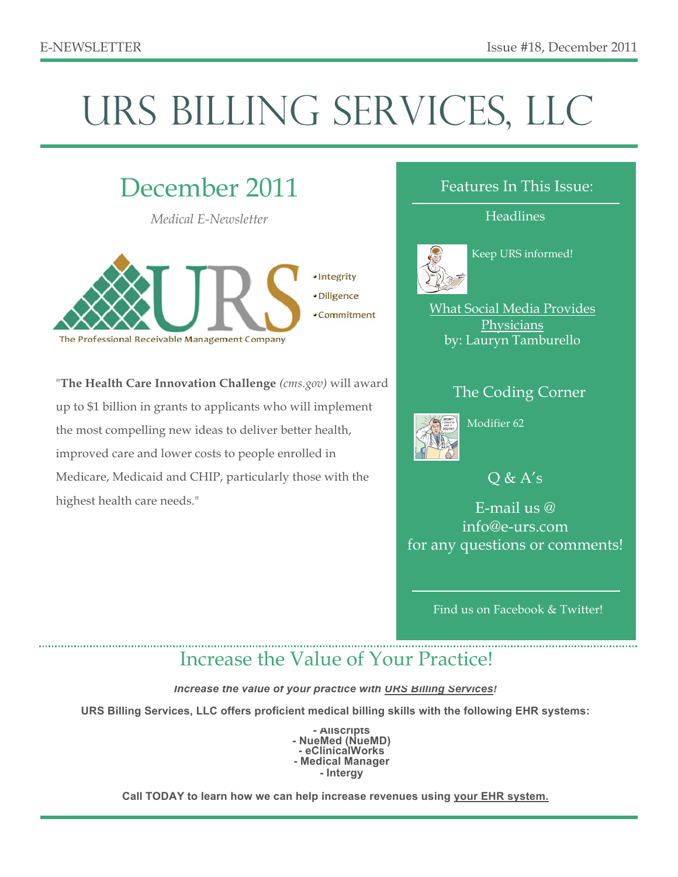# URS BILLING SERVICES, LLC

# December 2011

*Medical E-Newsletter*



"**The Health Care Innovation Challenge** *(cms.gov)* will award up to \$1 billion in grants to applicants who will implement the most compelling new ideas to deliver better health, improved care and lower costs to people enrolled in Medicare, Medicaid and CHIP, particularly those with the highest health care needs."

#### Features In This Issue:

**Headlines** 



Keep URS informed!

What Social Media Provides **Physicians** by: Lauryn Tamburello

#### The Coding Corner



Modifier 62

 $Q & A's$ 

E-mail us @ info@e-urs.com for any questions or comments!

Find us on Facebook & Twitter!

### Increase the Value of Your Practice!

*Increase the value of your practice with URS Billing Services!*

**URS Billing Services, LLC offers proficient medical billing skills with the following EHR systems:**

**- Allscripts - NueMed (NueMD) - eClinicalWorks - Medical Manager - Intergy** 

**Call TODAY to learn how we can help increase revenues using your EHR system.**